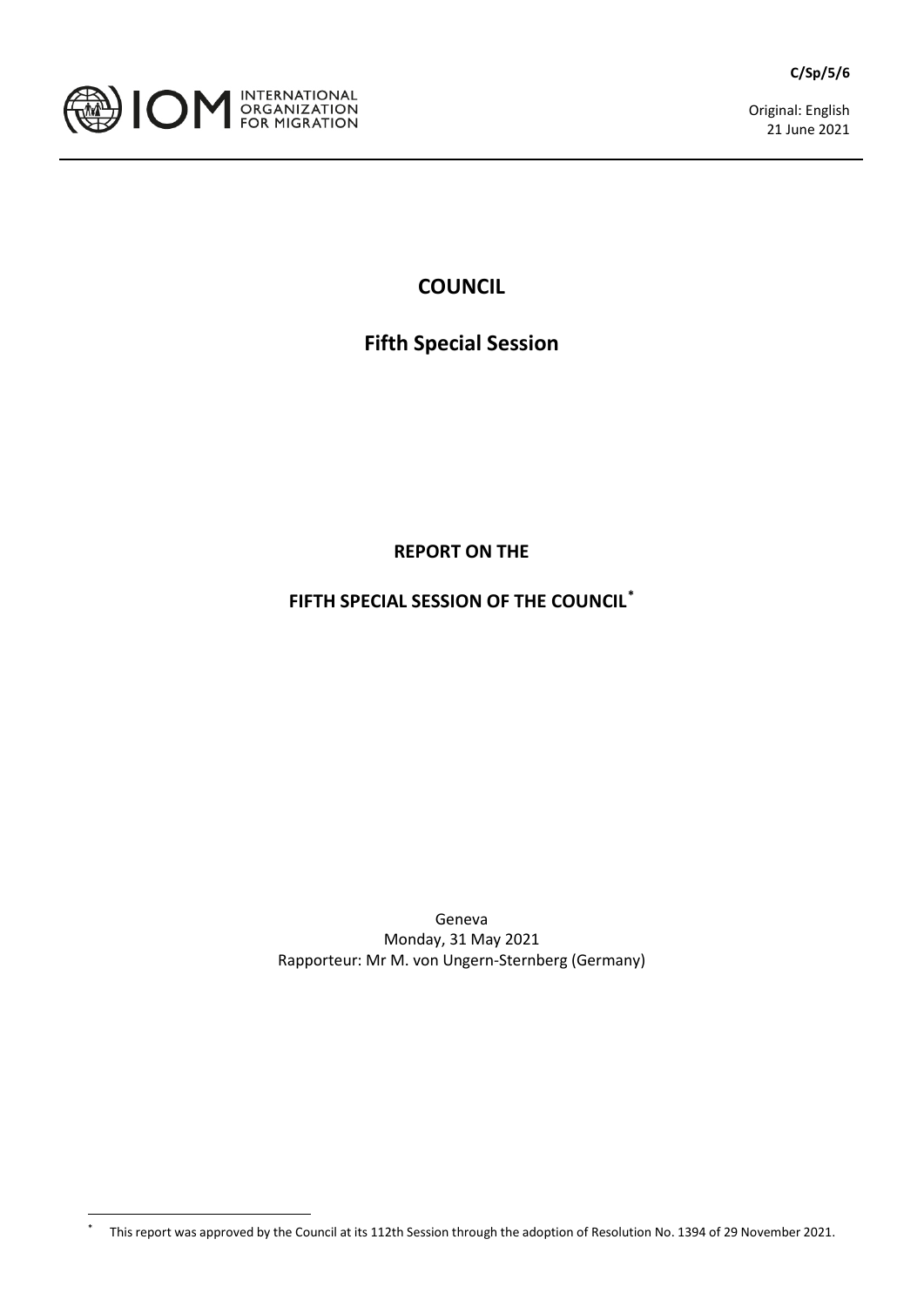



Original: English 21 June 2021

## **COUNCIL**

# **Fifth Special Session**

**REPORT ON THE**

**FIFTH SPECIAL SESSION OF THE COUNCIL[\\*](#page-0-0)**

Geneva Monday, 31 May 2021 Rapporteur: Mr M. von Ungern-Sternberg (Germany)

<span id="page-0-0"></span><sup>\*</sup> This report was approved by the Council at its 112th Session through the adoption of Resolution No. 1394 of 29 November 2021.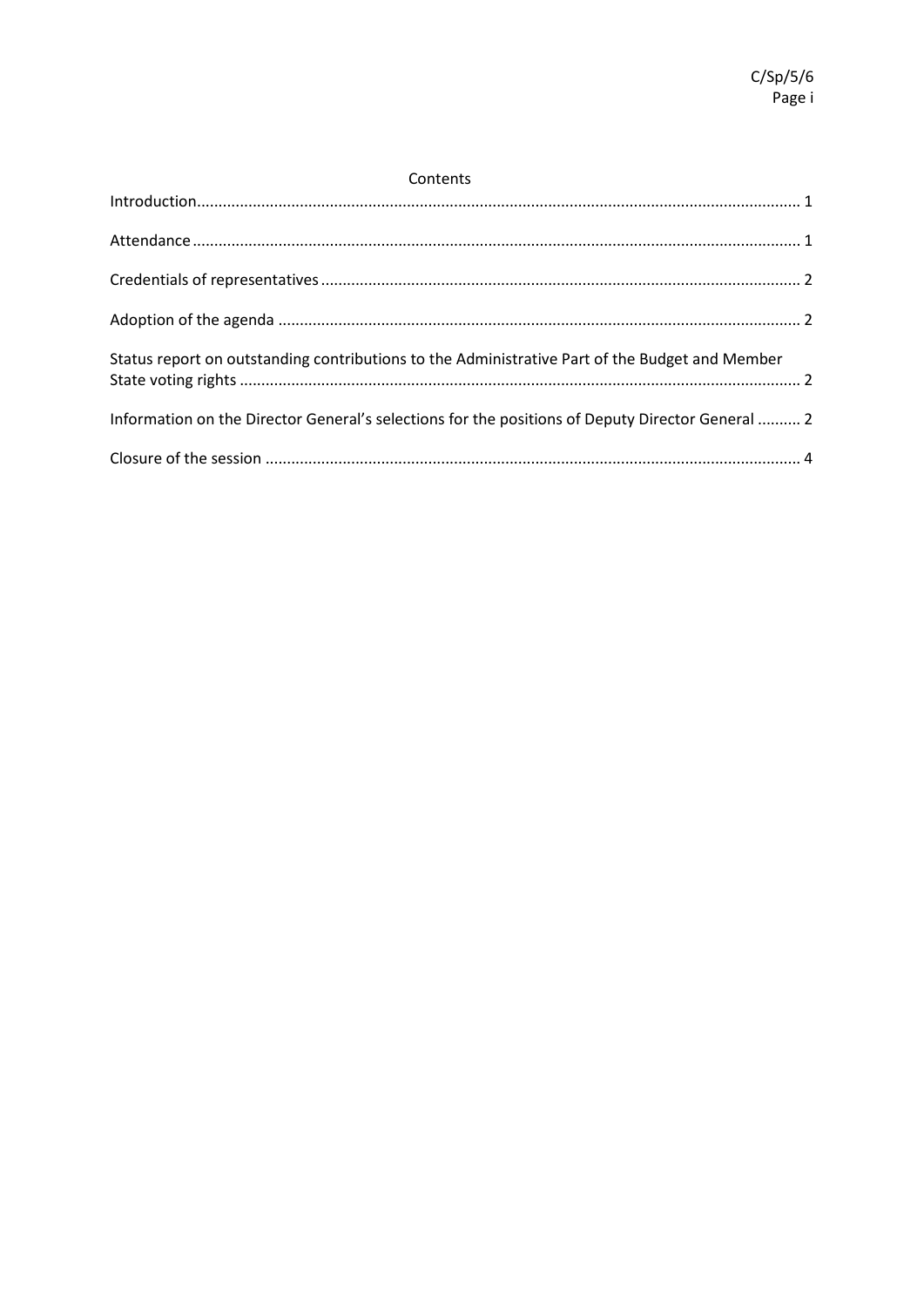| Contents |  |  |
|----------|--|--|
|          |  |  |

| Status report on outstanding contributions to the Administrative Part of the Budget and Member   |  |
|--------------------------------------------------------------------------------------------------|--|
| Information on the Director General's selections for the positions of Deputy Director General  2 |  |
|                                                                                                  |  |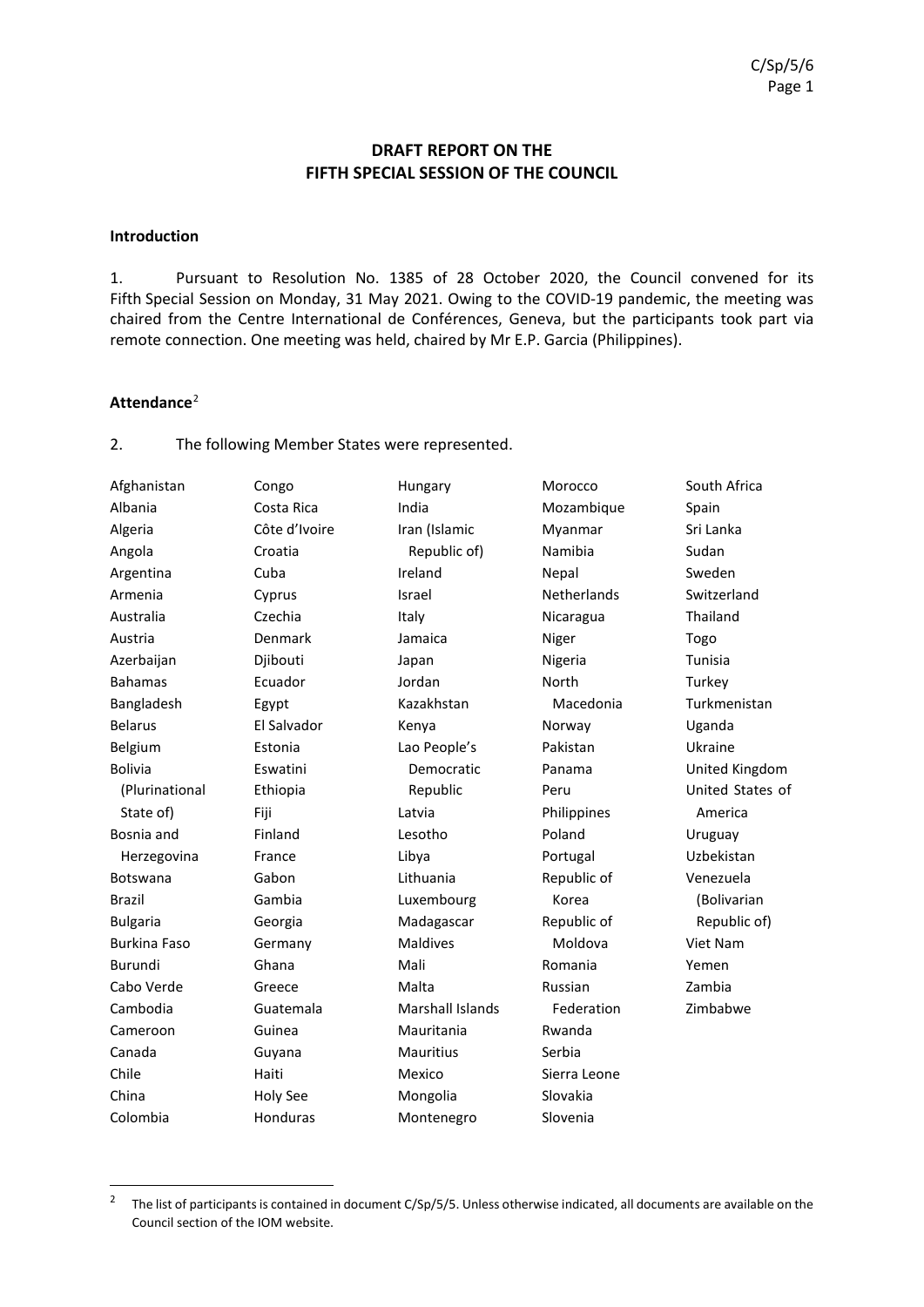## **DRAFT REPORT ON THE FIFTH SPECIAL SESSION OF THE COUNCIL**

#### <span id="page-4-0"></span>**Introduction**

1. Pursuant to Resolution No. 1385 of 28 October 2020, the Council convened for its Fifth Special Session on Monday, 31 May 2021. Owing to the COVID-19 pandemic, the meeting was chaired from the Centre International de Conférences, Geneva, but the participants took part via remote connection. One meeting was held, chaired by Mr E.P. Garcia (Philippines).

#### <span id="page-4-1"></span>**Attendance**[2](#page-4-2)

2. The following Member States were represented.

| Afghanistan         | Congo         | Hungary          | Morocco            | South Africa     |
|---------------------|---------------|------------------|--------------------|------------------|
| Albania             | Costa Rica    | India            | Mozambique         | Spain            |
| Algeria             | Côte d'Ivoire | Iran (Islamic    | Myanmar            | Sri Lanka        |
| Angola              | Croatia       | Republic of)     | Namibia            | Sudan            |
| Argentina           | Cuba          | Ireland          | Nepal              | Sweden           |
| Armenia             | Cyprus        | Israel           | <b>Netherlands</b> | Switzerland      |
| Australia           | Czechia       | Italy            | Nicaragua          | Thailand         |
| Austria             | Denmark       | Jamaica          | Niger              | Togo             |
| Azerbaijan          | Djibouti      | Japan            | Nigeria            | Tunisia          |
| <b>Bahamas</b>      | Ecuador       | Jordan           | North              | Turkey           |
| Bangladesh          | Egypt         | Kazakhstan       | Macedonia          | Turkmenistan     |
| <b>Belarus</b>      | El Salvador   | Kenya            | Norway             | Uganda           |
| Belgium             | Estonia       | Lao People's     | Pakistan           | Ukraine          |
| <b>Bolivia</b>      | Eswatini      | Democratic       | Panama             | United Kingdom   |
| (Plurinational      | Ethiopia      | Republic         | Peru               | United States of |
| State of)           | Fiji          | Latvia           | Philippines        | America          |
| Bosnia and          | Finland       | Lesotho          | Poland             | Uruguay          |
| Herzegovina         | France        | Libya            | Portugal           | Uzbekistan       |
| Botswana            | Gabon         | Lithuania        | Republic of        | Venezuela        |
| <b>Brazil</b>       | Gambia        | Luxembourg       | Korea              | (Bolivarian      |
| <b>Bulgaria</b>     | Georgia       | Madagascar       | Republic of        | Republic of)     |
| <b>Burkina Faso</b> | Germany       | <b>Maldives</b>  | Moldova            | Viet Nam         |
| Burundi             | Ghana         | Mali             | Romania            | Yemen            |
| Cabo Verde          | Greece        | Malta            | Russian            | Zambia           |
| Cambodia            | Guatemala     | Marshall Islands | Federation         | Zimbabwe         |
| Cameroon            | Guinea        | Mauritania       | Rwanda             |                  |
| Canada              | Guyana        | <b>Mauritius</b> | Serbia             |                  |
| Chile               | Haiti         | Mexico           | Sierra Leone       |                  |
| China               | Holy See      | Mongolia         | Slovakia           |                  |
| Colombia            | Honduras      | Montenegro       | Slovenia           |                  |
|                     |               |                  |                    |                  |

<span id="page-4-2"></span><sup>&</sup>lt;sup>2</sup> The list of participants is contained in document C/Sp/5/5. Unless otherwise indicated, all documents are available on the Council section of the IOM website.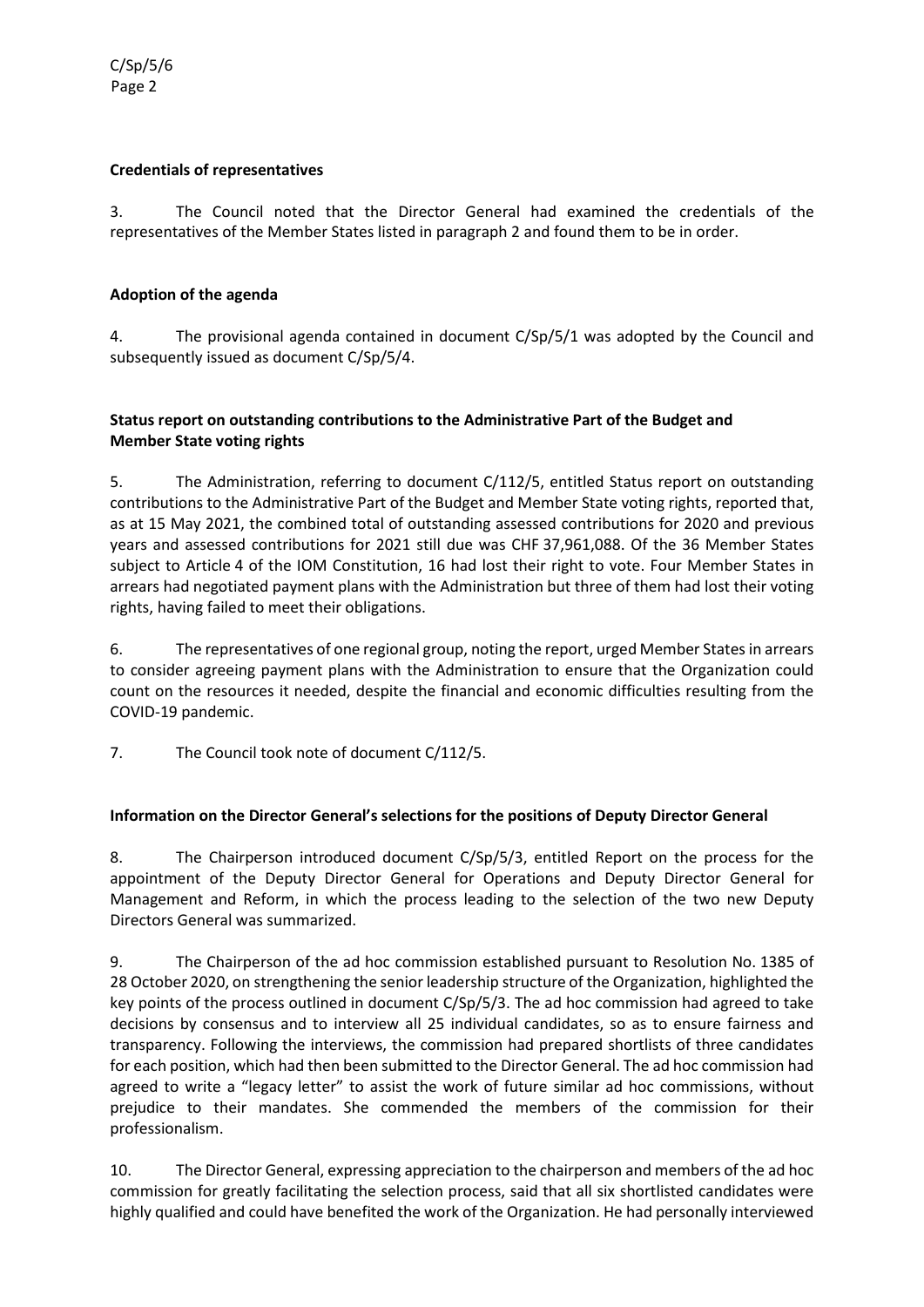### <span id="page-5-0"></span>**Credentials of representatives**

3. The Council noted that the Director General had examined the credentials of the representatives of the Member States listed in paragraph 2 and found them to be in order.

#### <span id="page-5-1"></span>**Adoption of the agenda**

4. The provisional agenda contained in document C/Sp/5/1 was adopted by the Council and subsequently issued as document C/Sp/5/4.

#### <span id="page-5-2"></span>**Status report on outstanding contributions to the Administrative Part of the Budget and Member State voting rights**

5. The Administration, referring to document C/112/5, entitled Status report on outstanding contributions to the Administrative Part of the Budget and Member State voting rights, reported that, as at 15 May 2021, the combined total of outstanding assessed contributions for 2020 and previous years and assessed contributions for 2021 still due was CHF 37,961,088. Of the 36 Member States subject to Article 4 of the IOM Constitution, 16 had lost their right to vote. Four Member States in arrears had negotiated payment plans with the Administration but three of them had lost their voting rights, having failed to meet their obligations.

6. The representatives of one regional group, noting the report, urged Member States in arrears to consider agreeing payment plans with the Administration to ensure that the Organization could count on the resources it needed, despite the financial and economic difficulties resulting from the COVID-19 pandemic.

7. The Council took note of document C/112/5.

### <span id="page-5-3"></span>**Information on the Director General's selections for the positions of Deputy Director General**

8. The Chairperson introduced document C/Sp/5/3, entitled Report on the process for the appointment of the Deputy Director General for Operations and Deputy Director General for Management and Reform, in which the process leading to the selection of the two new Deputy Directors General was summarized.

9. The Chairperson of the ad hoc commission established pursuant to Resolution No. 1385 of 28 October 2020, on strengthening the senior leadership structure of the Organization, highlighted the key points of the process outlined in document C/Sp/5/3. The ad hoc commission had agreed to take decisions by consensus and to interview all 25 individual candidates, so as to ensure fairness and transparency. Following the interviews, the commission had prepared shortlists of three candidates for each position, which had then been submitted to the Director General. The ad hoc commission had agreed to write a "legacy letter" to assist the work of future similar ad hoc commissions, without prejudice to their mandates. She commended the members of the commission for their professionalism.

10. The Director General, expressing appreciation to the chairperson and members of the ad hoc commission for greatly facilitating the selection process, said that all six shortlisted candidates were highly qualified and could have benefited the work of the Organization. He had personally interviewed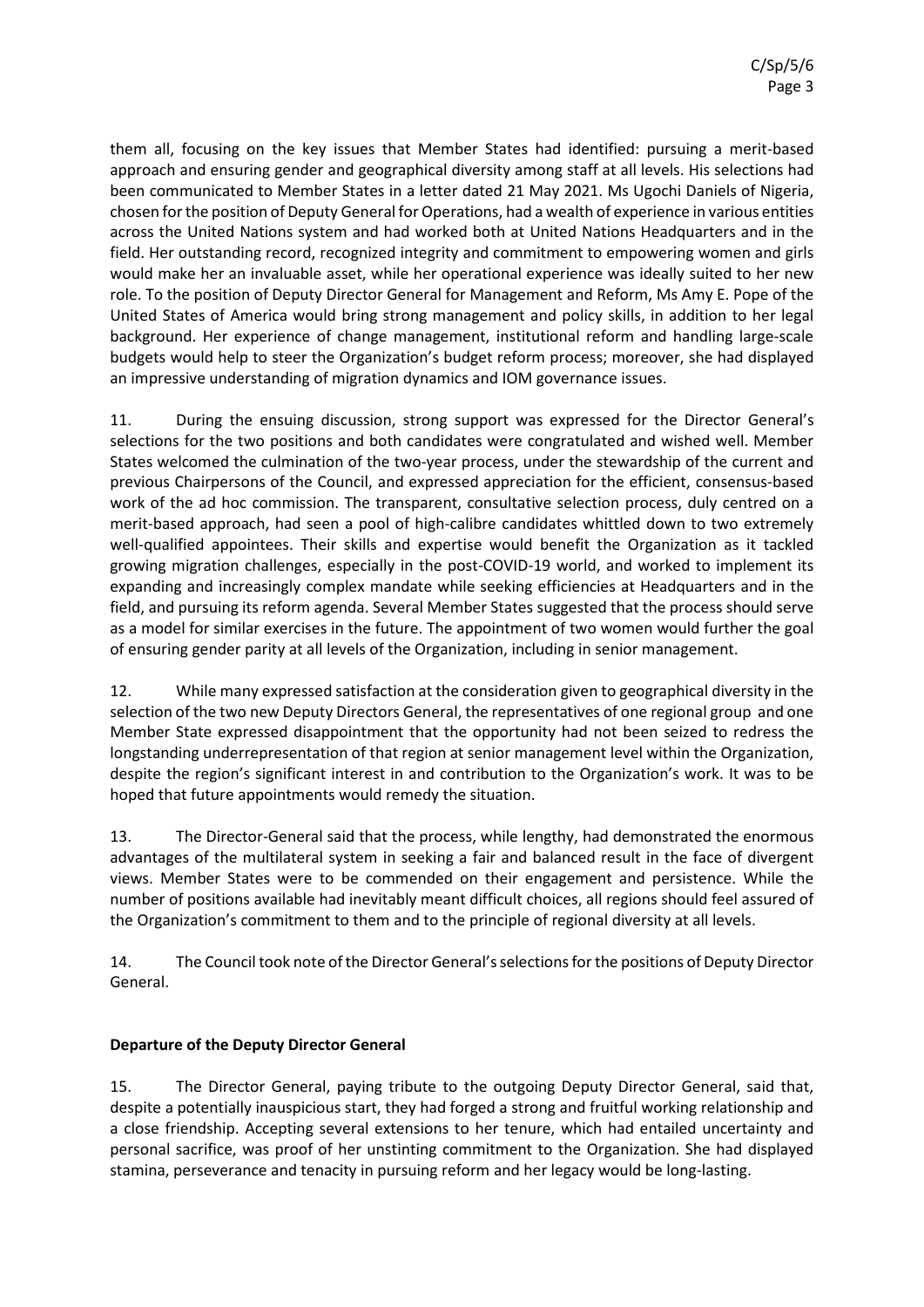them all, focusing on the key issues that Member States had identified: pursuing a merit-based approach and ensuring gender and geographical diversity among staff at all levels. His selections had been communicated to Member States in a letter dated 21 May 2021. Ms Ugochi Daniels of Nigeria, chosen for the position of Deputy General for Operations, had a wealth of experience in various entities across the United Nations system and had worked both at United Nations Headquarters and in the field. Her outstanding record, recognized integrity and commitment to empowering women and girls would make her an invaluable asset, while her operational experience was ideally suited to her new role. To the position of Deputy Director General for Management and Reform, Ms Amy E. Pope of the United States of America would bring strong management and policy skills, in addition to her legal background. Her experience of change management, institutional reform and handling large-scale budgets would help to steer the Organization's budget reform process; moreover, she had displayed an impressive understanding of migration dynamics and IOM governance issues.

11. During the ensuing discussion, strong support was expressed for the Director General's selections for the two positions and both candidates were congratulated and wished well. Member States welcomed the culmination of the two-year process, under the stewardship of the current and previous Chairpersons of the Council, and expressed appreciation for the efficient, consensus-based work of the ad hoc commission. The transparent, consultative selection process, duly centred on a merit-based approach, had seen a pool of high-calibre candidates whittled down to two extremely well-qualified appointees. Their skills and expertise would benefit the Organization as it tackled growing migration challenges, especially in the post-COVID-19 world, and worked to implement its expanding and increasingly complex mandate while seeking efficiencies at Headquarters and in the field, and pursuing its reform agenda. Several Member States suggested that the process should serve as a model for similar exercises in the future. The appointment of two women would further the goal of ensuring gender parity at all levels of the Organization, including in senior management.

12. While many expressed satisfaction at the consideration given to geographical diversity in the selection of the two new Deputy Directors General, the representatives of one regional group and one Member State expressed disappointment that the opportunity had not been seized to redress the longstanding underrepresentation of that region at senior management level within the Organization, despite the region's significant interest in and contribution to the Organization's work. It was to be hoped that future appointments would remedy the situation.

13. The Director-General said that the process, while lengthy, had demonstrated the enormous advantages of the multilateral system in seeking a fair and balanced result in the face of divergent views. Member States were to be commended on their engagement and persistence. While the number of positions available had inevitably meant difficult choices, all regions should feel assured of the Organization's commitment to them and to the principle of regional diversity at all levels.

14. The Council took note of the Director General's selections for the positions of Deputy Director General.

### **Departure of the Deputy Director General**

15. The Director General, paying tribute to the outgoing Deputy Director General, said that, despite a potentially inauspicious start, they had forged a strong and fruitful working relationship and a close friendship. Accepting several extensions to her tenure, which had entailed uncertainty and personal sacrifice, was proof of her unstinting commitment to the Organization. She had displayed stamina, perseverance and tenacity in pursuing reform and her legacy would be long-lasting.